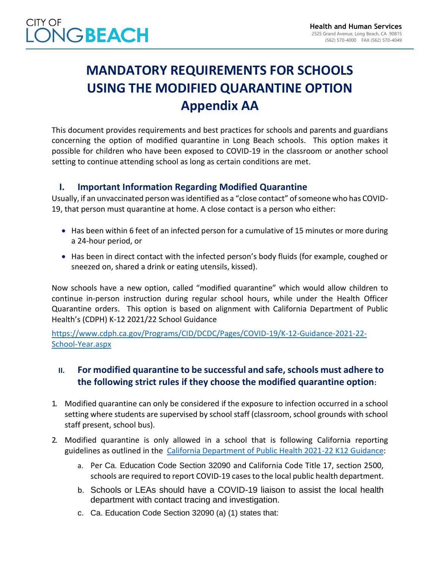## **MANDATORY REQUIREMENTS FOR SCHOOLS USING THE MODIFIED QUARANTINE OPTION Appendix AA**

This document provides requirements and best practices for schools and parents and guardians concerning the option of modified quarantine in Long Beach schools. This option makes it possible for children who have been exposed to COVID-19 in the classroom or another school setting to continue attending school as long as certain conditions are met.

### **I. Important Information Regarding Modified Quarantine**

Usually, if an unvaccinated person was identified as a "close contact" of someone who has COVID-19, that person must quarantine at home. A close contact is a person who either:

- Has been within 6 feet of an infected person for a cumulative of 15 minutes or more during a 24-hour period, or
- Has been in direct contact with the infected person's body fluids (for example, coughed or sneezed on, shared a drink or eating utensils, kissed).

Now schools have a new option, called "modified quarantine" which would allow children to continue in-person instruction during regular school hours, while under the Health Officer Quarantine orders. This option is based on alignment with California Department of Public Health's (CDPH) K-12 2021/22 School Guidance

[https://www.cdph.ca.gov/Programs/CID/DCDC/Pages/COVID-19/K-12-Guidance-2021-22-](https://www.cdph.ca.gov/Programs/CID/DCDC/Pages/COVID-19/K-12-Guidance-2021-22-School-Year.aspx) [School-Year.aspx](https://www.cdph.ca.gov/Programs/CID/DCDC/Pages/COVID-19/K-12-Guidance-2021-22-School-Year.aspx)

### **II. For modified quarantine to be successful and safe, schools must adhere to the following strict rules if they choose the modified quarantine option:**

- 1. Modified quarantine can only be considered if the exposure to infection occurred in a school setting where students are supervised by school staff (classroom, school grounds with school staff present, school bus).
- 2. Modified quarantine is only allowed in a school that is following California reporting guidelines as outlined in the [California Department of Public Health 2021-22 K12 Guidance:](https://www.cdph.ca.gov/Programs/CID/DCDC/Pages/COVID-19/K-12-Guidance-2021-22-School-Year.aspx)
	- a. Per Ca. Education Code Section 32090 and California Code Title 17, section 2500, schools are required to report COVID-19 cases to the local public health department.
	- b. Schools or LEAs should have a COVID-19 liaison to assist the local health department with contact tracing and investigation.
	- c. Ca. Education Code Section 32090 (a) (1) states that: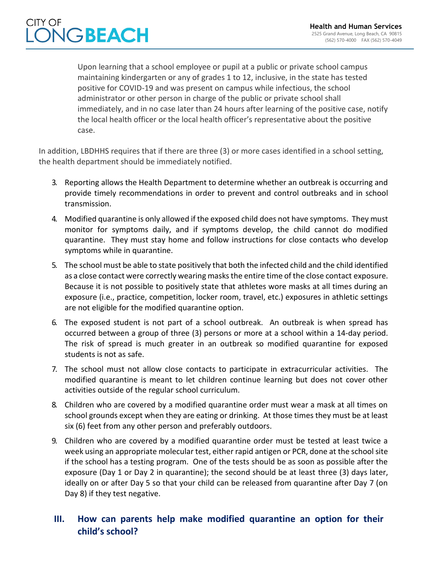#### **Health and Human Services** 2525 Grand Avenue, Long Beach, CA 90815 (562) 570-4000 FAX (562) 570-4049

## CITY OF **NGBEACH**

Upon learning that a school employee or pupil at a public or private school campus maintaining kindergarten or any of grades 1 to 12, inclusive, in the state has tested positive for COVID-19 and was present on campus while infectious, the school administrator or other person in charge of the public or private school shall immediately, and in no case later than 24 hours after learning of the positive case, notify the local health officer or the local health officer's representative about the positive case.

In addition, LBDHHS requires that if there are three (3) or more cases identified in a school setting, the health department should be immediately notified.

- 3. Reporting allows the Health Department to determine whether an outbreak is occurring and provide timely recommendations in order to prevent and control outbreaks and in school transmission.
- 4. Modified quarantine is only allowed if the exposed child does not have symptoms. They must monitor for symptoms daily, and if symptoms develop, the child cannot do modified quarantine. They must stay home and follow instructions for close contacts who develop symptoms while in quarantine.
- 5. The school must be able to state positively that both the infected child and the child identified as a close contact were correctly wearing masks the entire time of the close contact exposure. Because it is not possible to positively state that athletes wore masks at all times during an exposure (i.e., practice, competition, locker room, travel, etc.) exposures in athletic settings are not eligible for the modified quarantine option.
- 6. The exposed student is not part of a school outbreak. An outbreak is when spread has occurred between a group of three (3) persons or more at a school within a 14-day period. The risk of spread is much greater in an outbreak so modified quarantine for exposed students is not as safe.
- 7. The school must not allow close contacts to participate in extracurricular activities. The modified quarantine is meant to let children continue learning but does not cover other activities outside of the regular school curriculum.
- 8. Children who are covered by a modified quarantine order must wear a mask at all times on school grounds except when they are eating or drinking. At those times they must be at least six (6) feet from any other person and preferably outdoors.
- 9. Children who are covered by a modified quarantine order must be tested at least twice a week using an appropriate molecular test, either rapid antigen or PCR, done at the school site if the school has a testing program. One of the tests should be as soon as possible after the exposure (Day 1 or Day 2 in quarantine); the second should be at least three (3) days later, ideally on or after Day 5 so that your child can be released from quarantine after Day 7 (on Day 8) if they test negative.

### **III. How can parents help make modified quarantine an option for their child's school?**